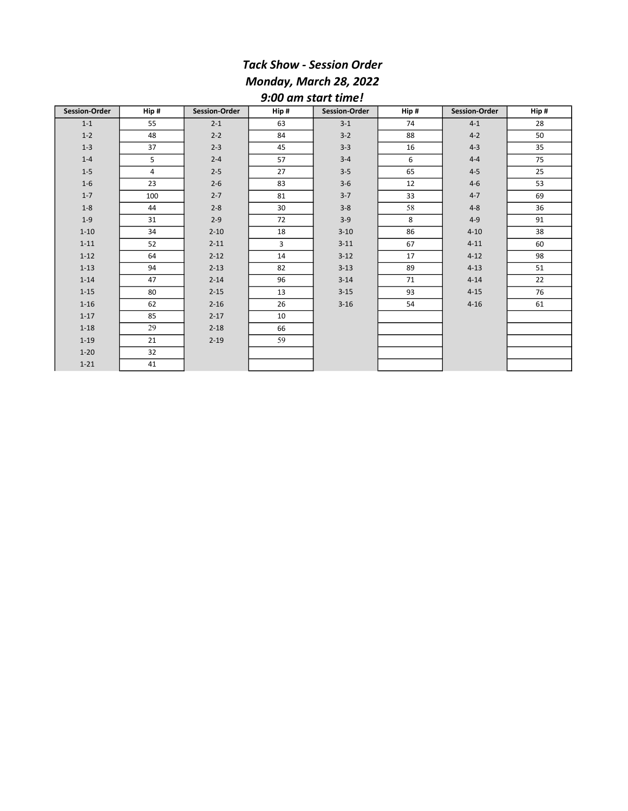## Tack Show - Session Order Monday, March 28, 2022 9:00 am start time!

| <b>Session-Order</b> | Hip#           | <b>Session-Order</b> | Hip#           | <b>Session-Order</b> | Hip# | Session-Order | Hip# |
|----------------------|----------------|----------------------|----------------|----------------------|------|---------------|------|
| $1 - 1$              | 55             | $2 - 1$              | 63             | $3-1$                | 74   | $4-1$         | 28   |
| $1 - 2$              | 48             | $2 - 2$              | 84             | $3 - 2$              | 88   | $4 - 2$       | 50   |
| $1 - 3$              | 37             | $2 - 3$              | 45             | $3 - 3$              | 16   | $4 - 3$       | 35   |
| $1 - 4$              | 5              | $2 - 4$              | 57             | $3 - 4$              | 6    | $4 - 4$       | 75   |
| $1 - 5$              | $\overline{4}$ | $2 - 5$              | 27             | $3 - 5$              | 65   | $4 - 5$       | 25   |
| $1-6$                | 23             | $2 - 6$              | 83             | $3-6$                | 12   | $4 - 6$       | 53   |
| $1 - 7$              | 100            | $2 - 7$              | 81             | $3 - 7$              | 33   | $4 - 7$       | 69   |
| $1-8$                | 44             | $2 - 8$              | 30             | $3 - 8$              | 58   | $4 - 8$       | 36   |
| $1 - 9$              | 31             | $2 - 9$              | 72             | $3-9$                | 8    | $4 - 9$       | 91   |
| $1 - 10$             | 34             | $2 - 10$             | 18             | $3 - 10$             | 86   | $4 - 10$      | 38   |
| $1 - 11$             | 52             | $2 - 11$             | $\overline{3}$ | $3 - 11$             | 67   | $4 - 11$      | 60   |
| $1 - 12$             | 64             | $2 - 12$             | 14             | $3 - 12$             | 17   | $4 - 12$      | 98   |
| $1 - 13$             | 94             | $2 - 13$             | 82             | $3 - 13$             | 89   | $4 - 13$      | 51   |
| $1 - 14$             | 47             | $2 - 14$             | 96             | $3 - 14$             | 71   | $4 - 14$      | 22   |
| $1 - 15$             | 80             | $2 - 15$             | 13             | $3 - 15$             | 93   | $4 - 15$      | 76   |
| $1 - 16$             | 62             | $2 - 16$             | 26             | $3 - 16$             | 54   | $4 - 16$      | 61   |
| $1 - 17$             | 85             | $2 - 17$             | 10             |                      |      |               |      |
| $1 - 18$             | 29             | $2 - 18$             | 66             |                      |      |               |      |
| $1 - 19$             | 21             | $2 - 19$             | 59             |                      |      |               |      |
| $1 - 20$             | 32             |                      |                |                      |      |               |      |
| $1 - 21$             | 41             |                      |                |                      |      |               |      |